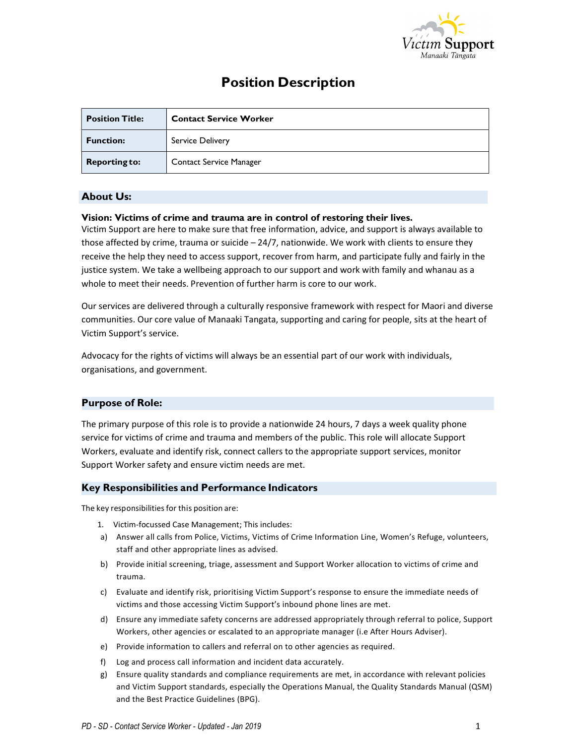

# Position Description

| <b>Position Title:</b> | <b>Contact Service Worker</b>  |
|------------------------|--------------------------------|
| <b>Function:</b>       | <b>Service Delivery</b>        |
| <b>Reporting to:</b>   | <b>Contact Service Manager</b> |

# About Us:

### Vision: Victims of crime and trauma are in control of restoring their lives.

Victim Support are here to make sure that free information, advice, and support is always available to those affected by crime, trauma or suicide  $-24/7$ , nationwide. We work with clients to ensure they receive the help they need to access support, recover from harm, and participate fully and fairly in the justice system. We take a wellbeing approach to our support and work with family and whanau as a whole to meet their needs. Prevention of further harm is core to our work.

Our services are delivered through a culturally responsive framework with respect for Maori and diverse communities. Our core value of Manaaki Tangata, supporting and caring for people, sits at the heart of Victim Support's service.

Advocacy for the rights of victims will always be an essential part of our work with individuals, organisations, and government.

## Purpose of Role:

The primary purpose of this role is to provide a nationwide 24 hours, 7 days a week quality phone service for victims of crime and trauma and members of the public. This role will allocate Support Workers, evaluate and identify risk, connect callers to the appropriate support services, monitor Support Worker safety and ensure victim needs are met.

### Key Responsibilities and Performance Indicators

The key responsibilities for this position are:

- 1. Victim-focussed Case Management; This includes:
- a) Answer all calls from Police, Victims, Victims of Crime Information Line, Women's Refuge, volunteers, staff and other appropriate lines as advised.
- b) Provide initial screening, triage, assessment and Support Worker allocation to victims of crime and trauma.
- c) Evaluate and identify risk, prioritising Victim Support's response to ensure the immediate needs of victims and those accessing Victim Support's inbound phone lines are met.
- d) Ensure any immediate safety concerns are addressed appropriately through referral to police, Support Workers, other agencies or escalated to an appropriate manager (i.e After Hours Adviser).
- e) Provide information to callers and referral on to other agencies as required.
- f) Log and process call information and incident data accurately.
- g) Ensure quality standards and compliance requirements are met, in accordance with relevant policies and Victim Support standards, especially the Operations Manual, the Quality Standards Manual (QSM) and the Best Practice Guidelines (BPG).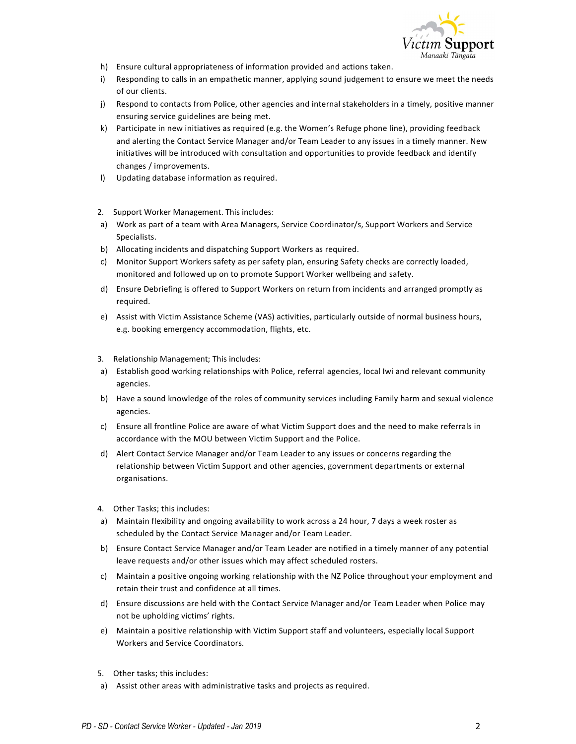

- h) Ensure cultural appropriateness of information provided and actions taken.
- i) Responding to calls in an empathetic manner, applying sound judgement to ensure we meet the needs of our clients.
- j) Respond to contacts from Police, other agencies and internal stakeholders in a timely, positive manner ensuring service guidelines are being met.
- k) Participate in new initiatives as required (e.g. the Women's Refuge phone line), providing feedback and alerting the Contact Service Manager and/or Team Leader to any issues in a timely manner. New initiatives will be introduced with consultation and opportunities to provide feedback and identify changes / improvements.
- l) Updating database information as required.
- 2. Support Worker Management. This includes:
- a) Work as part of a team with Area Managers, Service Coordinator/s, Support Workers and Service Specialists.
- b) Allocating incidents and dispatching Support Workers as required.
- c) Monitor Support Workers safety as per safety plan, ensuring Safety checks are correctly loaded, monitored and followed up on to promote Support Worker wellbeing and safety.
- d) Ensure Debriefing is offered to Support Workers on return from incidents and arranged promptly as required.
- e) Assist with Victim Assistance Scheme (VAS) activities, particularly outside of normal business hours, e.g. booking emergency accommodation, flights, etc.
- 3. Relationship Management; This includes:
- a) Establish good working relationships with Police, referral agencies, local Iwi and relevant community agencies.
- b) Have a sound knowledge of the roles of community services including Family harm and sexual violence agencies.
- c) Ensure all frontline Police are aware of what Victim Support does and the need to make referrals in accordance with the MOU between Victim Support and the Police.
- d) Alert Contact Service Manager and/or Team Leader to any issues or concerns regarding the relationship between Victim Support and other agencies, government departments or external organisations.
- 4. Other Tasks; this includes:
- a) Maintain flexibility and ongoing availability to work across a 24 hour, 7 days a week roster as scheduled by the Contact Service Manager and/or Team Leader.
- b) Ensure Contact Service Manager and/or Team Leader are notified in a timely manner of any potential leave requests and/or other issues which may affect scheduled rosters.
- c) Maintain a positive ongoing working relationship with the NZ Police throughout your employment and retain their trust and confidence at all times.
- d) Ensure discussions are held with the Contact Service Manager and/or Team Leader when Police may not be upholding victims' rights.
- e) Maintain a positive relationship with Victim Support staff and volunteers, especially local Support Workers and Service Coordinators.
- 5. Other tasks; this includes:
- a) Assist other areas with administrative tasks and projects as required.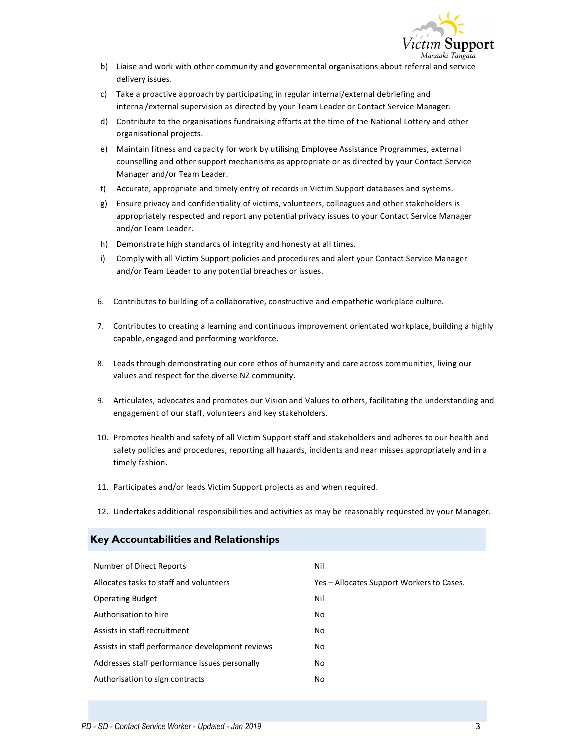

- b) Liaise and work with other community and governmental organisations about referral and service delivery issues.
- c) Take a proactive approach by participating in regular internal/external debriefing and internal/external supervision as directed by your Team Leader or Contact Service Manager.
- d) Contribute to the organisations fundraising efforts at the time of the National Lottery and other organisational projects.
- e) Maintain fitness and capacity for work by utilising Employee Assistance Programmes, external counselling and other support mechanisms as appropriate or as directed by your Contact Service Manager and/or Team Leader.
- f) Accurate, appropriate and timely entry of records in Victim Support databases and systems.
- g) Ensure privacy and confidentiality of victims, volunteers, colleagues and other stakeholders is appropriately respected and report any potential privacy issues to your Contact Service Manager and/or Team Leader.
- h) Demonstrate high standards of integrity and honesty at all times.
- i) Comply with all Victim Support policies and procedures and alert your Contact Service Manager and/or Team Leader to any potential breaches or issues.
- 6. Contributes to building of a collaborative, constructive and empathetic workplace culture.
- 7. Contributes to creating a learning and continuous improvement orientated workplace, building a highly capable, engaged and performing workforce.
- 8. Leads through demonstrating our core ethos of humanity and care across communities, living our values and respect for the diverse NZ community.
- 9. Articulates, advocates and promotes our Vision and Values to others, facilitating the understanding and engagement of our staff, volunteers and key stakeholders.
- 10. Promotes health and safety of all Victim Support staff and stakeholders and adheres to our health and safety policies and procedures, reporting all hazards, incidents and near misses appropriately and in a timely fashion.
- 11. Participates and/or leads Victim Support projects as and when required.
- 12. Undertakes additional responsibilities and activities as may be reasonably requested by your Manager.

# Key Accountabilities and Relationships

| Number of Direct Reports                         | Nil                                       |
|--------------------------------------------------|-------------------------------------------|
| Allocates tasks to staff and volunteers          | Yes – Allocates Support Workers to Cases. |
| <b>Operating Budget</b>                          | Nil                                       |
| Authorisation to hire                            | No                                        |
| Assists in staff recruitment                     | No                                        |
| Assists in staff performance development reviews | No                                        |
| Addresses staff performance issues personally    | No                                        |
| Authorisation to sign contracts                  | No                                        |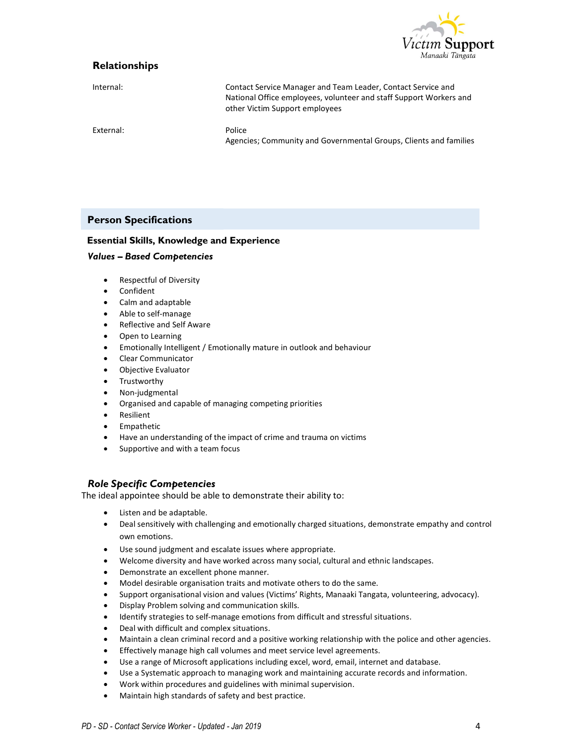

# Relationships

| Internal: | Contact Service Manager and Team Leader, Contact Service and<br>National Office employees, volunteer and staff Support Workers and<br>other Victim Support employees |
|-----------|----------------------------------------------------------------------------------------------------------------------------------------------------------------------|
| External: | Police<br>Agencies; Community and Governmental Groups, Clients and families                                                                                          |

## Person Specifications

#### Essential Skills, Knowledge and Experience

#### Values – Based Competencies

- Respectful of Diversity
- Confident
- Calm and adaptable
- Able to self-manage
- Reflective and Self Aware
- Open to Learning
- Emotionally Intelligent / Emotionally mature in outlook and behaviour
- Clear Communicator
- Objective Evaluator
- **•** Trustworthy
- Non-judgmental
- Organised and capable of managing competing priorities
- Resilient
- Empathetic
- Have an understanding of the impact of crime and trauma on victims
- Supportive and with a team focus

#### Role Specific Competencies

The ideal appointee should be able to demonstrate their ability to:

- Listen and be adaptable.
- Deal sensitively with challenging and emotionally charged situations, demonstrate empathy and control own emotions.
- Use sound judgment and escalate issues where appropriate.
- Welcome diversity and have worked across many social, cultural and ethnic landscapes.
- Demonstrate an excellent phone manner.
- Model desirable organisation traits and motivate others to do the same.
- Support organisational vision and values (Victims' Rights, Manaaki Tangata, volunteering, advocacy).
- Display Problem solving and communication skills.
- Identify strategies to self-manage emotions from difficult and stressful situations.
- Deal with difficult and complex situations.
- Maintain a clean criminal record and a positive working relationship with the police and other agencies.
- Effectively manage high call volumes and meet service level agreements.
- Use a range of Microsoft applications including excel, word, email, internet and database.
- Use a Systematic approach to managing work and maintaining accurate records and information.
- Work within procedures and guidelines with minimal supervision.
- Maintain high standards of safety and best practice.